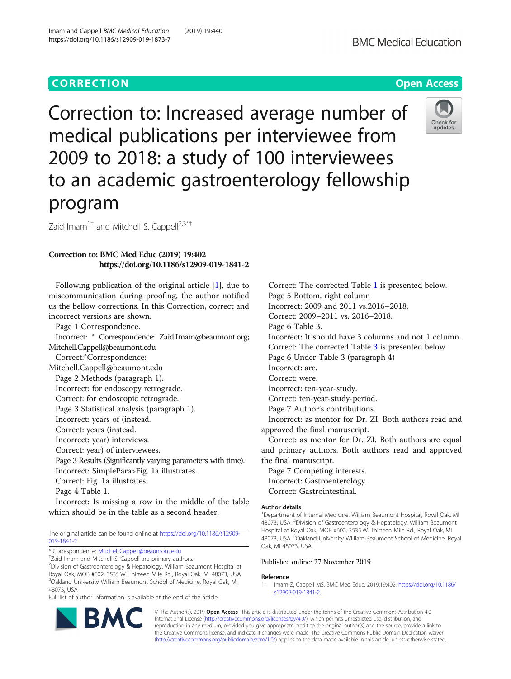# **CORRECTION CORRECTION CORRECTION**

https://doi.org/10.1186/s12909-019-1873-7

Correction to: Increased average number of medical publications per interviewee from 2009 to 2018: a study of 100 interviewees to an academic gastroenterology fellowship program

Zaid Imam<sup>1†</sup> and Mitchell S. Cappell<sup>2,3\*†</sup>

## Correction to: BMC Med Educ (2019) 19:402 https://doi.org/10.1186/s12909-019-1841-2

Following publication of the original article [1], due to miscommunication during proofing, the author notified us the bellow corrections. In this Correction, correct and incorrect versions are shown.

Page 1 Correspondence.

Incorrect: \* Correspondence: Zaid.Imam@beaumont.org; Mitchell.Cappell@beaumont.edu Correct:\*Correspondence: Mitchell.Cappell@beaumont.edu Page 2 Methods (paragraph 1). Incorrect: for endoscopy retrograde. Correct: for endoscopic retrograde. Page 3 Statistical analysis (paragraph 1). Incorrect: years of (instead. Correct: years (instead. Incorrect: year) interviews. Correct: year) of interviewees. Page 3 Results (Significantly varying parameters with time). Incorrect: SimplePara>Fig. 1a illustrates. Correct: Fig. 1a illustrates. Page 4 Table 1.

Incorrect: Is missing a row in the middle of the table which should be in the table as a second header.

The original article can be found online at [https://doi.org/10.1186/s12909-](https://doi.org/10.1186/s12909-019-1841-2) [019-1841-2](https://doi.org/10.1186/s12909-019-1841-2)

\* Correspondence: [Mitchell.Cappell@beaumont.edu](mailto:Mitchell.Cappell@beaumont.edu) †

<sup>+</sup>Zaid Imam and Mitchell S. Cappell are primary authors.

2 Division of Gastroenterology & Hepatology, William Beaumont Hospital at Royal Oak, MOB #602, 3535 W. Thirteen Mile Rd., Royal Oak, MI 48073, USA <sup>3</sup>Oakland University William Beaumont School of Medicine, Royal Oak, MI 48073, USA

Full list of author information is available at the end of the article

Correct: The corrected Table [1](#page-1-0) is presented below. Page 5 Bottom, right column

Incorrect: 2009 and 2011 vs.2016–2018.

Correct: 2009–2011 vs. 2016–2018.

Page 6 Table 3.

Incorrect: It should have 3 columns and not 1 column. Correct: The corrected Table [3](#page-1-0) is presented below

Page 6 Under Table 3 (paragraph 4)

Incorrect: are.

Correct: were.

Incorrect: ten-year-study.

Correct: ten-year-study-period.

Page 7 Author's contributions.

Incorrect: as mentor for Dr. ZI. Both authors read and approved the final manuscript.

Correct: as mentor for Dr. ZI. Both authors are equal and primary authors. Both authors read and approved the final manuscript.

Page 7 Competing interests. Incorrect: Gastroenterology. Correct: Gastrointestinal.

### Author details

<sup>1</sup>Department of Internal Medicine, William Beaumont Hospital, Royal Oak, MI 48073, USA. <sup>2</sup> Division of Gastroenterology & Hepatology, William Beaumont Hospital at Royal Oak, MOB #602, 3535 W. Thirteen Mile Rd., Royal Oak, MI 48073, USA. <sup>3</sup>Oakland University William Beaumont School of Medicine, Royal Oak, MI 48073, USA.

Published online: 27 November 2019

### Reference

1. Imam Z, Cappell MS. BMC Med Educ. 2019;19:402. [https://doi.org/10.1186/](https://doi.org/10.1186/s12909-019-1841-2) [s12909-019-1841-2.](https://doi.org/10.1186/s12909-019-1841-2)

© The Author(s). 2019 **Open Access** This article is distributed under the terms of the Creative Commons Attribution 4.0 International License [\(http://creativecommons.org/licenses/by/4.0/](http://creativecommons.org/licenses/by/4.0/)), which permits unrestricted use, distribution, and reproduction in any medium, provided you give appropriate credit to the original author(s) and the source, provide a link to the Creative Commons license, and indicate if changes were made. The Creative Commons Public Domain Dedication waiver [\(http://creativecommons.org/publicdomain/zero/1.0/](http://creativecommons.org/publicdomain/zero/1.0/)) applies to the data made available in this article, unless otherwise stated.

**BMC Medical Education**